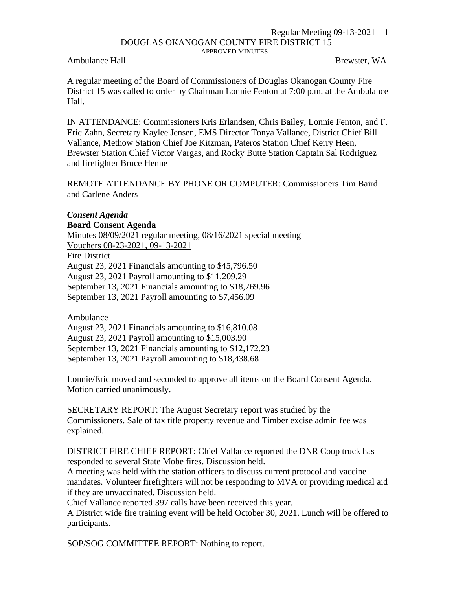## Regular Meeting 09-13-2021 1 DOUGLAS OKANOGAN COUNTY FIRE DISTRICT 15 APPROVED MINUTES

Ambulance Hall **Brewster, WA** 

A regular meeting of the Board of Commissioners of Douglas Okanogan County Fire District 15 was called to order by Chairman Lonnie Fenton at 7:00 p.m. at the Ambulance Hall.

IN ATTENDANCE: Commissioners Kris Erlandsen, Chris Bailey, Lonnie Fenton, and F. Eric Zahn, Secretary Kaylee Jensen, EMS Director Tonya Vallance, District Chief Bill Vallance, Methow Station Chief Joe Kitzman, Pateros Station Chief Kerry Heen, Brewster Station Chief Victor Vargas, and Rocky Butte Station Captain Sal Rodriguez and firefighter Bruce Henne

REMOTE ATTENDANCE BY PHONE OR COMPUTER: Commissioners Tim Baird and Carlene Anders

## *Consent Agenda*

## **Board Consent Agenda**

Minutes 08/09/2021 regular meeting, 08/16/2021 special meeting Vouchers 08-23-2021, 09-13-2021 Fire District August 23, 2021 Financials amounting to \$45,796.50 August 23, 2021 Payroll amounting to \$11,209.29 September 13, 2021 Financials amounting to \$18,769.96

September 13, 2021 Payroll amounting to \$7,456.09

Ambulance

August 23, 2021 Financials amounting to \$16,810.08 August 23, 2021 Payroll amounting to \$15,003.90 September 13, 2021 Financials amounting to \$12,172.23 September 13, 2021 Payroll amounting to \$18,438.68

Lonnie/Eric moved and seconded to approve all items on the Board Consent Agenda. Motion carried unanimously.

SECRETARY REPORT: The August Secretary report was studied by the Commissioners. Sale of tax title property revenue and Timber excise admin fee was explained.

DISTRICT FIRE CHIEF REPORT: Chief Vallance reported the DNR Coop truck has responded to several State Mobe fires. Discussion held.

A meeting was held with the station officers to discuss current protocol and vaccine mandates. Volunteer firefighters will not be responding to MVA or providing medical aid if they are unvaccinated. Discussion held.

Chief Vallance reported 397 calls have been received this year.

A District wide fire training event will be held October 30, 2021. Lunch will be offered to participants.

SOP/SOG COMMITTEE REPORT: Nothing to report.